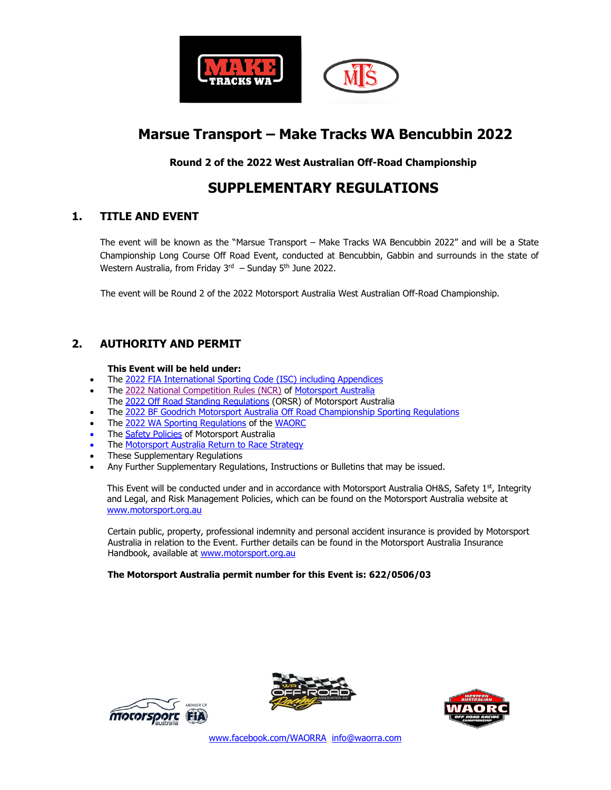

# **Marsue Transport – Make Tracks WA Bencubbin 2022**

**Round 2 of the 2022 West Australian Off-Road Championship**

# **SUPPLEMENTARY REGULATIONS**

#### **1. TITLE AND EVENT**

The event will be known as the "Marsue Transport – Make Tracks WA Bencubbin 2022" and will be a State Championship Long Course Off Road Event, conducted at Bencubbin, Gabbin and surrounds in the state of Western Australia, from Friday  $3<sup>rd</sup>$  – Sunday 5<sup>th</sup> June 2022.

The event will be Round 2 of the 2022 Motorsport Australia West Australian Off-Road Championship.

# **2. AUTHORITY AND PERMIT**

#### **This Event will be held under:**

- The 2022 [FIA International Sporting Code \(ISC\)](http://www.fia.com/sport/regulations?f%5B0%5D=field_regulation_category%3A284) including Appendices
- The 2022 [National Competition Rules \(NCR\)](http://www.cams.com.au/motor-sport/regulations/cams-manual/ncr) of [Motorsport Australia](http://www.motorsport.org.au/)
- The 2022 [Off Road Standing Regulations](http://www.cams.com.au/motor-sport/regulations/cams-manual/off-road) (ORSR) of Motorsport Australia
- The 2022 [BF Goodrich Motorsport Australia Off Road Championship Sporting Regulations](https://motorsport.org.au/docs/default-source/sporting-technical/national/2021/2021-bfgoodrich-motorsport-australia-off-road-championship---sporting-regulations.pdf?sfvrsn=3cc12b5b_9)
- The 2022 [WA Sporting Regulations](http://www.cams.com.au/motor-sport/regulations/sporting-technical-regulations/state/western-australia) of the [WAORC](https://www.waorc.com/)
- The **Safety Policies** of Motorsport Australia
- The [Motorsport Australia Return to Race Strategy](https://www.motorsport.org.au/docs/default-source/covid19/motorsport-australia_return-to-race.pdf?sfvrsn=226dacc9_43)
- These Supplementary Regulations
- Any Further Supplementary Regulations, Instructions or Bulletins that may be issued.

This Event will be conducted under and in accordance with Motorsport Australia OH&S, Safety 1<sup>st</sup>, Integrity and Legal, and Risk Management Policies, which can be found on the Motorsport Australia website at [www.motorsport.org.au](http://www.motorsport.org.au/) 

Certain public, property, professional indemnity and personal accident insurance is provided by Motorsport Australia in relation to the Event. Further details can be found in the Motorsport Australia Insurance Handbook, available at [www.motorsport.org.au](http://www.motorsport.org.au/)

#### **The Motorsport Australia permit number for this Event is: 622/0506/03**





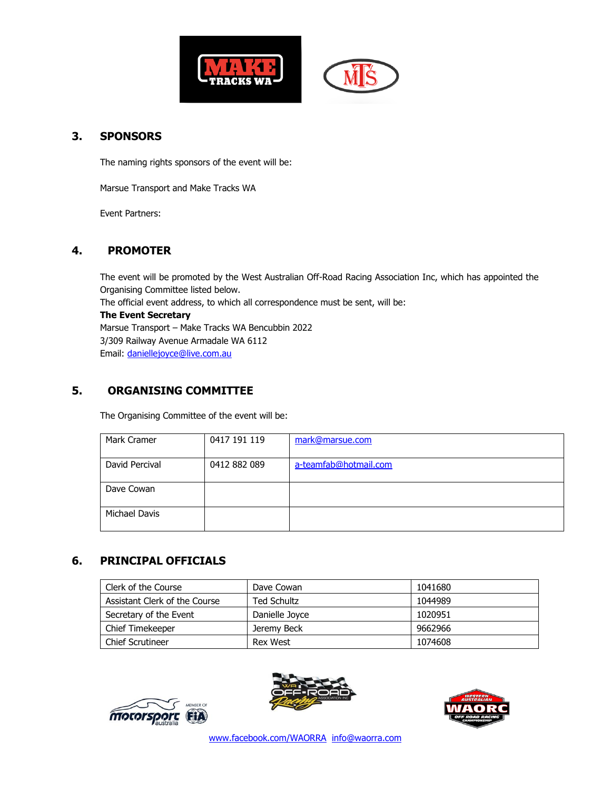



#### **3. SPONSORS**

The naming rights sponsors of the event will be:

Marsue Transport and Make Tracks WA

Event Partners:

# **4. PROMOTER**

The event will be promoted by the West Australian Off-Road Racing Association Inc, which has appointed the Organising Committee listed below. The official event address, to which all correspondence must be sent, will be: **The Event Secretary** Marsue Transport – Make Tracks WA Bencubbin 2022 3/309 Railway Avenue Armadale WA 6112 Email: [daniellejoyce@live.com.au](mailto:daniellejoyce@live.com.au)

# **5. ORGANISING COMMITTEE**

The Organising Committee of the event will be:

| Mark Cramer    | 0417 191 119 | mark@marsue.com       |
|----------------|--------------|-----------------------|
| David Percival | 0412 882 089 | a-teamfab@hotmail.com |
| Dave Cowan     |              |                       |
| Michael Davis  |              |                       |

# **6. PRINCIPAL OFFICIALS**

| Clerk of the Course           | Dave Cowan         | 1041680 |
|-------------------------------|--------------------|---------|
| Assistant Clerk of the Course | <b>Ted Schultz</b> | 1044989 |
| Secretary of the Event        | Danielle Joyce     | 1020951 |
| <b>Chief Timekeeper</b>       | Jeremy Beck        | 9662966 |
| <b>Chief Scrutineer</b>       | <b>Rex West</b>    | 1074608 |





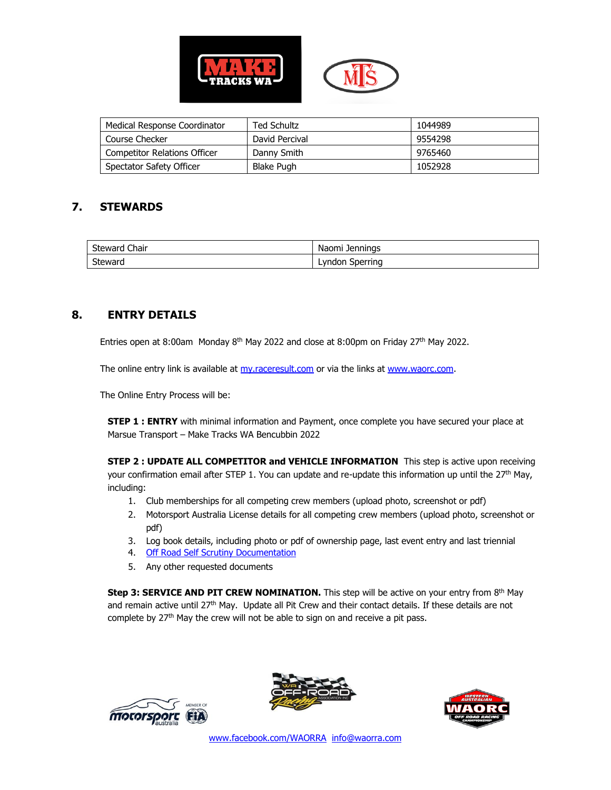

| Medical Response Coordinator        | Ted Schultz       | 1044989 |
|-------------------------------------|-------------------|---------|
| Course Checker                      | David Percival    | 9554298 |
| <b>Competitor Relations Officer</b> | Danny Smith       | 9765460 |
| Spectator Safety Officer            | <b>Blake Pugh</b> | 1052928 |

# **7. STEWARDS**

| <b>Steward Chair</b> | Naomi Jennings  |
|----------------------|-----------------|
| Steward              | Lyndon Sperring |

# **8. ENTRY DETAILS**

Entries open at 8:00am Monday 8<sup>th</sup> May 2022 and close at 8:00pm on Friday 27<sup>th</sup> May 2022.

The online entry link is available at [my.raceresult.com](https://my.raceresult.com/) or via the links at [www.waorc.com.](http://www.waorc.com/)

The Online Entry Process will be:

**STEP 1 : ENTRY** with minimal information and Payment, once complete you have secured your place at Marsue Transport – Make Tracks WA Bencubbin 2022

**STEP 2 : UPDATE ALL COMPETITOR and VEHICLE INFORMATION** This step is active upon receiving your confirmation email after STEP 1. You can update and re-update this information up until the 27<sup>th</sup> May, including:

- 1. Club memberships for all competing crew members (upload photo, screenshot or pdf)
- 2. Motorsport Australia License details for all competing crew members (upload photo, screenshot or pdf)
- 3. Log book details, including photo or pdf of ownership page, last event entry and last triennial
- 4. [Off Road Self Scrutiny Documentation](https://motorsport.org.au/docs/default-source/covid19/scrutiny/motorsport-australia_self-scrutiny-checklist_off-road.pdf?sfvrsn=42b1db6f_11)
- 5. Any other requested documents

**Step 3: SERVICE AND PIT CREW NOMINATION.** This step will be active on your entry from 8<sup>th</sup> May and remain active until 27<sup>th</sup> May. Update all Pit Crew and their contact details. If these details are not complete by 27<sup>th</sup> May the crew will not be able to sign on and receive a pit pass.





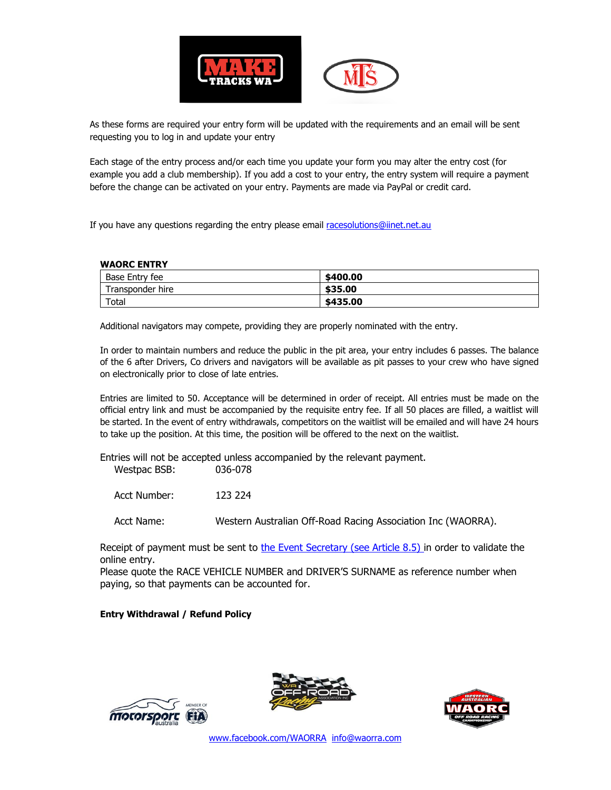

As these forms are required your entry form will be updated with the requirements and an email will be sent requesting you to log in and update your entry

Each stage of the entry process and/or each time you update your form you may alter the entry cost (for example you add a club membership). If you add a cost to your entry, the entry system will require a payment before the change can be activated on your entry. Payments are made via PayPal or credit card.

If you have any questions regarding the entry please email [racesolutions@iinet.net.au](mailto:racesolutions@iinet.net.au)

#### **WAORC ENTRY**

| Base Entry fee   | \$400.00 |
|------------------|----------|
| Transponder hire | \$35,00  |
| $\tau$ otal      | \$435.00 |

Additional navigators may compete, providing they are properly nominated with the entry.

In order to maintain numbers and reduce the public in the pit area, your entry includes 6 passes. The balance of the 6 after Drivers, Co drivers and navigators will be available as pit passes to your crew who have signed on electronically prior to close of late entries.

Entries are limited to 50. Acceptance will be determined in order of receipt. All entries must be made on the official entry link and must be accompanied by the requisite entry fee. If all 50 places are filled, a waitlist will be started. In the event of entry withdrawals, competitors on the waitlist will be emailed and will have 24 hours to take up the position. At this time, the position will be offered to the next on the waitlist.

Entries will not be accepted unless accompanied by the relevant payment. Westpac BSB: 036-078

Acct Number: 123 224

Acct Name: Western Australian Off-Road Racing Association Inc (WAORRA).

Receipt of payment must be sent to [the](mailto:info@waorra.com) Event Secretary (see Article 8.5) in order to validate the online entry.

Please quote the RACE VEHICLE NUMBER and DRIVER'S SURNAME as reference number when paying, so that payments can be accounted for.

#### **Entry Withdrawal / Refund Policy**





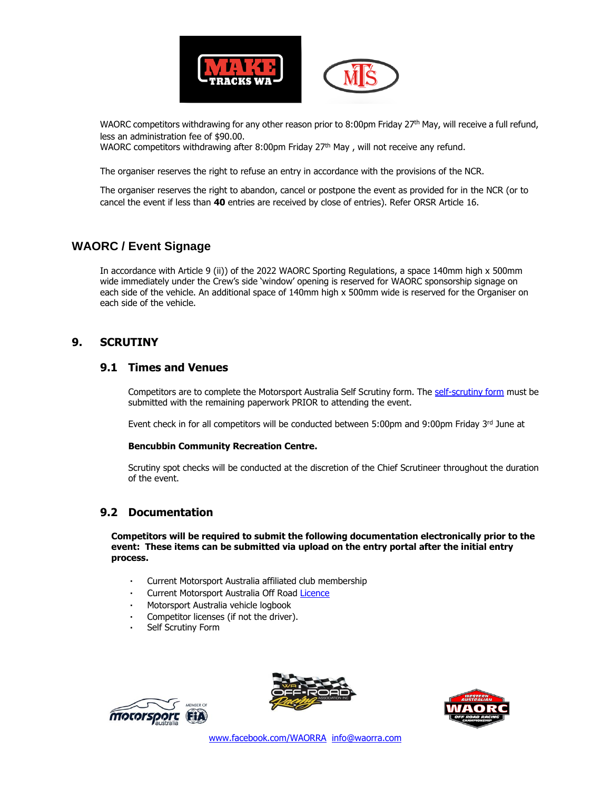

WAORC competitors withdrawing for any other reason prior to 8:00pm Friday 27<sup>th</sup> May, will receive a full refund, less an administration fee of \$90.00.

WAORC competitors withdrawing after 8:00pm Friday 27<sup>th</sup> May, will not receive any refund.

The organiser reserves the right to refuse an entry in accordance with the provisions of the NCR.

The organiser reserves the right to abandon, cancel or postpone the event as provided for in the NCR (or to cancel the event if less than **40** entries are received by close of entries). Refer ORSR Article 16.

#### **WAORC / Event Signage**

In accordance with Article 9 (ii)) of the 2022 WAORC Sporting Regulations, a space 140mm high x 500mm wide immediately under the Crew's side 'window' opening is reserved for WAORC sponsorship signage on each side of the vehicle. An additional space of 140mm high x 500mm wide is reserved for the Organiser on each side of the vehicle.

#### **9. SCRUTINY**

#### **9.1 Times and Venues**

Competitors are to complete the Motorsport Australia Self Scrutiny form. The [self-scrutiny form](https://motorsport.org.au/docs/default-source/covid19/scrutiny/motorsport-australia_self-scrutiny-checklist_off-road.pdf?sfvrsn=42b1db6f_9) must be submitted with the remaining paperwork PRIOR to attending the event.

Event check in for all competitors will be conducted between 5:00pm and 9:00pm Friday 3rd June at

#### **Bencubbin Community Recreation Centre.**

Scrutiny spot checks will be conducted at the discretion of the Chief Scrutineer throughout the duration of the event.

#### **9.2 Documentation**

**Competitors will be required to submit the following documentation electronically prior to the event: These items can be submitted via upload on the entry portal after the initial entry process.**

- Current Motorsport Australia affiliated club membership
- Current Motorsport Australia Off Road [Licence](https://www.motorsport.org.au/docs/default-source/licence-forms/2021/competition-licence-renewal.pdf)
- Motorsport Australia vehicle logbook
- Competitor licenses (if not the driver).
- Self Scrutiny Form





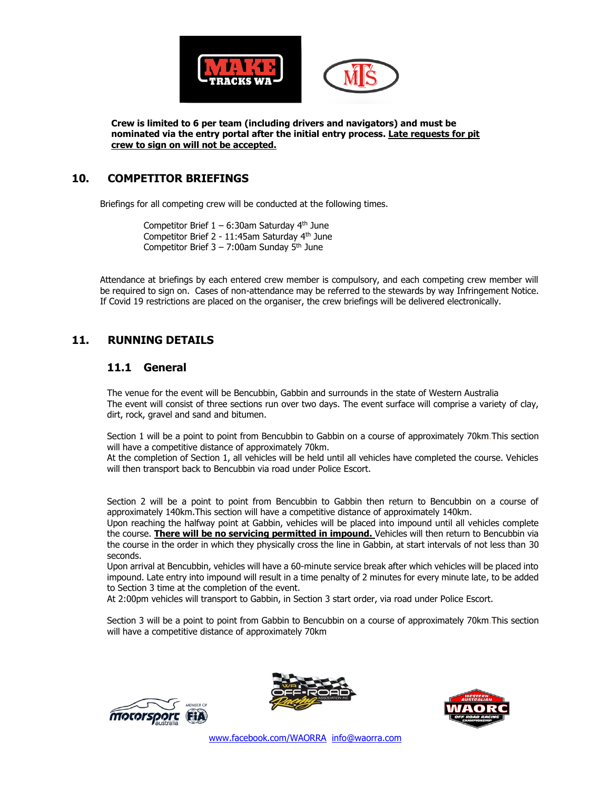

**Crew is limited to 6 per team (including drivers and navigators) and must be nominated via the entry portal after the initial entry process. Late requests for pit crew to sign on will not be accepted.**

#### **10. COMPETITOR BRIEFINGS**

Briefings for all competing crew will be conducted at the following times.

Competitor Brief  $1 - 6:30$ am Saturday 4<sup>th</sup> June Competitor Brief 2 - 11:45am Saturday 4th June Competitor Brief  $3 - 7:00$ am Sunday 5<sup>th</sup> June

Attendance at briefings by each entered crew member is compulsory, and each competing crew member will be required to sign on. Cases of non-attendance may be referred to the stewards by way Infringement Notice. If Covid 19 restrictions are placed on the organiser, the crew briefings will be delivered electronically.

#### **11. RUNNING DETAILS**

#### **11.1 General**

The venue for the event will be Bencubbin, Gabbin and surrounds in the state of Western Australia The event will consist of three sections run over two days. The event surface will comprise a variety of clay, dirt, rock, gravel and sand and bitumen.

Section 1 will be a point to point from Bencubbin to Gabbin on a course of approximately 70km.This section will have a competitive distance of approximately 70km.

At the completion of Section 1, all vehicles will be held until all vehicles have completed the course. Vehicles will then transport back to Bencubbin via road under Police Escort.

Section 2 will be a point to point from Bencubbin to Gabbin then return to Bencubbin on a course of approximately 140km.This section will have a competitive distance of approximately 140km.

Upon reaching the halfway point at Gabbin, vehicles will be placed into impound until all vehicles complete the course. **There will be no servicing permitted in impound.** Vehicles will then return to Bencubbin via the course in the order in which they physically cross the line in Gabbin, at start intervals of not less than 30 seconds.

Upon arrival at Bencubbin, vehicles will have a 60-minute service break after which vehicles will be placed into impound. Late entry into impound will result in a time penalty of 2 minutes for every minute late, to be added to Section 3 time at the completion of the event.

At 2:00pm vehicles will transport to Gabbin, in Section 3 start order, via road under Police Escort.

Section 3 will be a point to point from Gabbin to Bencubbin on a course of approximately 70km.This section will have a competitive distance of approximately 70km





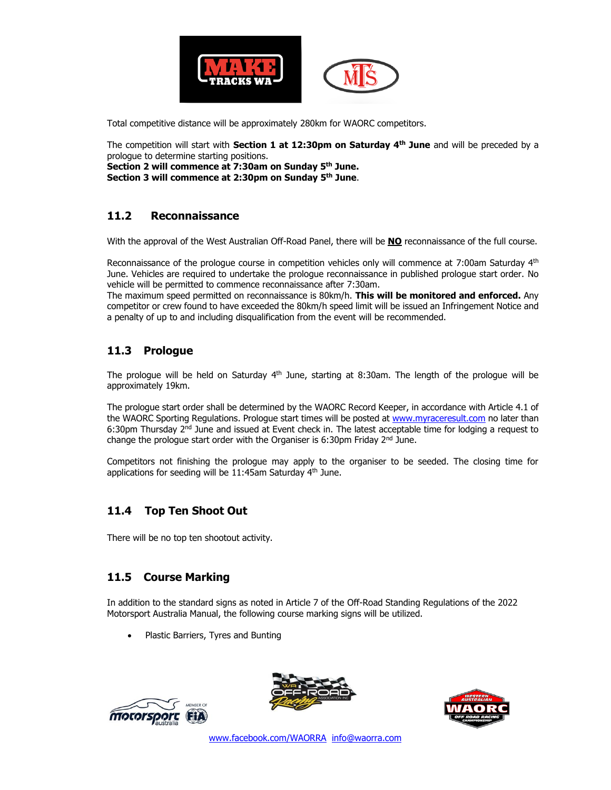

Total competitive distance will be approximately 280km for WAORC competitors.

The competition will start with **Section 1 at 12:30pm on Saturday 4 th June** and will be preceded by a prologue to determine starting positions.

**Section 2 will commence at 7:30am on Sunday 5 th June. Section 3 will commence at 2:30pm on Sunday 5 th June**.

# **11.2 Reconnaissance**

With the approval of the West Australian Off-Road Panel, there will be **NO** reconnaissance of the full course.

Reconnaissance of the prologue course in competition vehicles only will commence at 7:00am Saturday 4<sup>th</sup> June. Vehicles are required to undertake the prologue reconnaissance in published prologue start order. No vehicle will be permitted to commence reconnaissance after 7:30am.

The maximum speed permitted on reconnaissance is 80km/h. **This will be monitored and enforced.** Any competitor or crew found to have exceeded the 80km/h speed limit will be issued an Infringement Notice and a penalty of up to and including disqualification from the event will be recommended.

# **11.3 Prologue**

The prologue will be held on Saturday  $4<sup>th</sup>$  June, starting at 8:30am. The length of the prologue will be approximately 19km.

The prologue start order shall be determined by the WAORC Record Keeper, in accordance with Article 4.1 of the WAORC Sporting Regulations. Prologue start times will be posted at [www.myraceresult.com](http://www.myraceresult.com/) no later than 6:30pm Thursday 2<sup>nd</sup> June and issued at Event check in. The latest acceptable time for lodging a request to change the prologue start order with the Organiser is  $6:30 \text{pm}$  Friday  $2^{\text{nd}}$  June.

Competitors not finishing the prologue may apply to the organiser to be seeded. The closing time for applications for seeding will be 11:45am Saturday 4<sup>th</sup> June.

# **11.4 Top Ten Shoot Out**

There will be no top ten shootout activity.

# **11.5 Course Marking**

In addition to the standard signs as noted in Article 7 of the Off-Road Standing Regulations of the 2022 Motorsport Australia Manual, the following course marking signs will be utilized.

• Plastic Barriers, Tyres and Bunting





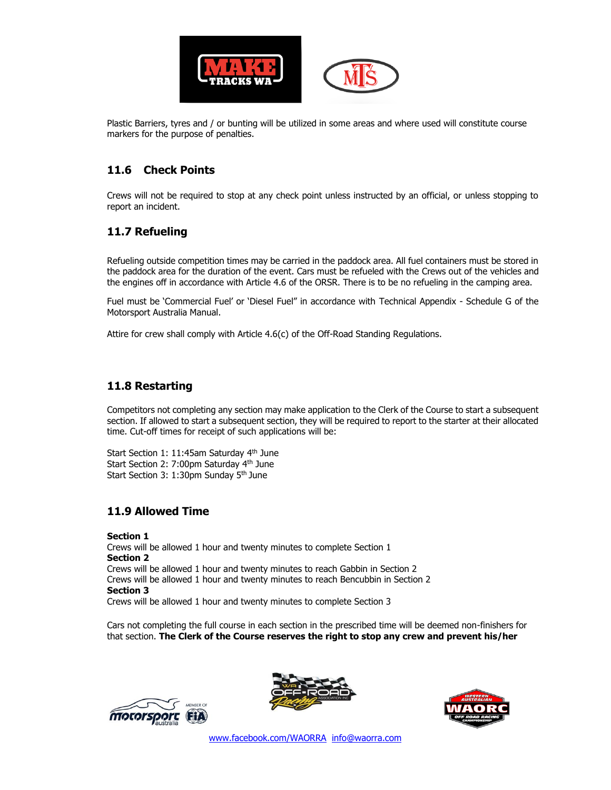

Plastic Barriers, tyres and / or bunting will be utilized in some areas and where used will constitute course markers for the purpose of penalties.

# **11.6 Check Points**

Crews will not be required to stop at any check point unless instructed by an official, or unless stopping to report an incident.

# **11.7 Refueling**

Refueling outside competition times may be carried in the paddock area. All fuel containers must be stored in the paddock area for the duration of the event. Cars must be refueled with the Crews out of the vehicles and the engines off in accordance with Article 4.6 of the ORSR. There is to be no refueling in the camping area.

Fuel must be 'Commercial Fuel' or 'Diesel Fuel" in accordance with Technical Appendix - Schedule G of the Motorsport Australia Manual.

Attire for crew shall comply with Article 4.6(c) of the Off-Road Standing Regulations.

#### **11.8 Restarting**

Competitors not completing any section may make application to the Clerk of the Course to start a subsequent section. If allowed to start a subsequent section, they will be required to report to the starter at their allocated time. Cut-off times for receipt of such applications will be:

Start Section 1: 11:45am Saturday 4<sup>th</sup> June Start Section 2: 7:00pm Saturday 4th June Start Section 3: 1:30pm Sunday 5<sup>th</sup> June

#### **11.9 Allowed Time**

**Section 1** Crews will be allowed 1 hour and twenty minutes to complete Section 1 **Section 2** Crews will be allowed 1 hour and twenty minutes to reach Gabbin in Section 2 Crews will be allowed 1 hour and twenty minutes to reach Bencubbin in Section 2 **Section 3** Crews will be allowed 1 hour and twenty minutes to complete Section 3

Cars not completing the full course in each section in the prescribed time will be deemed non-finishers for that section. **The Clerk of the Course reserves the right to stop any crew and prevent his/her** 





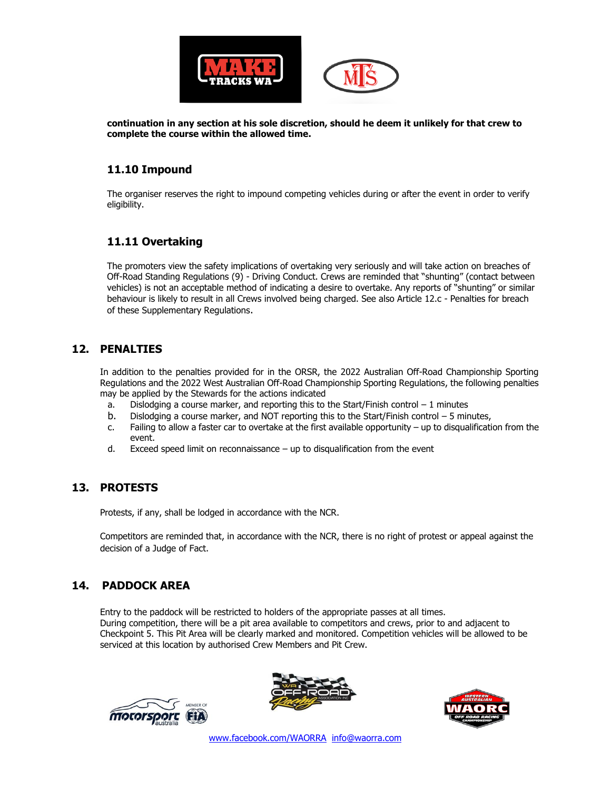

**continuation in any section at his sole discretion, should he deem it unlikely for that crew to complete the course within the allowed time.**

#### **11.10 Impound**

The organiser reserves the right to impound competing vehicles during or after the event in order to verify eligibility.

# **11.11 Overtaking**

The promoters view the safety implications of overtaking very seriously and will take action on breaches of Off-Road Standing Regulations (9) - Driving Conduct. Crews are reminded that "shunting" (contact between vehicles) is not an acceptable method of indicating a desire to overtake. Any reports of "shunting" or similar behaviour is likely to result in all Crews involved being charged. See also Article 12.c - Penalties for breach of these Supplementary Regulations.

#### **12. PENALTIES**

In addition to the penalties provided for in the ORSR, the 2022 Australian Off-Road Championship Sporting Regulations and the 2022 West Australian Off-Road Championship Sporting Regulations, the following penalties may be applied by the Stewards for the actions indicated

- a. Dislodging a course marker, and reporting this to the Start/Finish control  $-1$  minutes
- b. Dislodging a course marker, and NOT reporting this to the Start/Finish control 5 minutes,
- c. Failing to allow a faster car to overtake at the first available opportunity up to disqualification from the event.
- d. Exceed speed limit on reconnaissance up to disqualification from the event

#### **13. PROTESTS**

Protests, if any, shall be lodged in accordance with the NCR.

Competitors are reminded that, in accordance with the NCR, there is no right of protest or appeal against the decision of a Judge of Fact.

# **14. PADDOCK AREA**

Entry to the paddock will be restricted to holders of the appropriate passes at all times. During competition, there will be a pit area available to competitors and crews, prior to and adjacent to Checkpoint 5. This Pit Area will be clearly marked and monitored. Competition vehicles will be allowed to be serviced at this location by authorised Crew Members and Pit Crew.





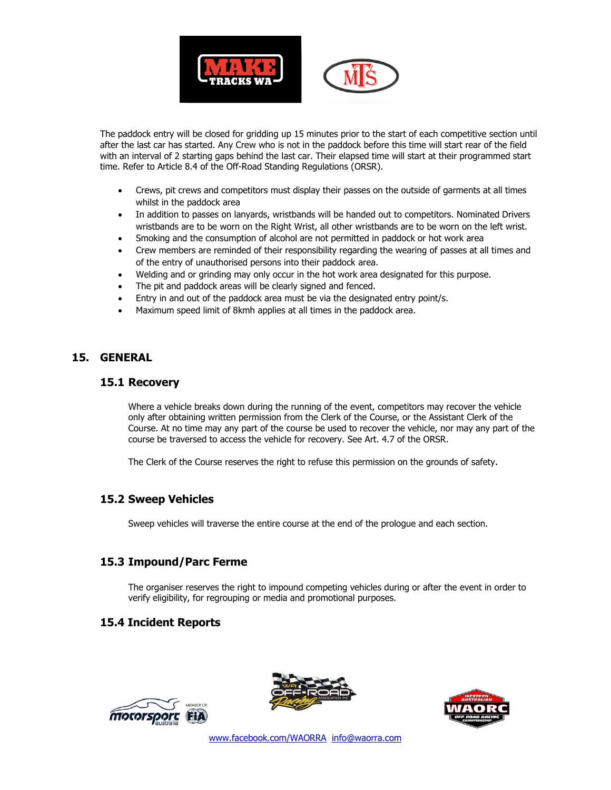

The paddock entry will be closed for gridding up 15 minutes prior to the start of each competitive section until after the last car has started. Any Crew who is not in the paddock before this time will start rear of the field with an interval of 2 starting gaps behind the last car. Their elapsed time will start at their programmed start time. Refer to Article 8.4 of the Off-Road Standing Regulations (ORSR).

- Crews, pit crews and competitors must display their passes on the outside of garments at all times whilst in the paddock area
- In addition to passes on lanyards, wristbands will be handed out to competitors. Nominated Drivers wristbands are to be worn on the Right Wrist, all other wristbands are to be worn on the left wrist.
- Smoking and the consumption of alcohol are not permitted in paddock or hot work area
- Crew members are reminded of their responsibility regarding the wearing of passes at all times and of the entry of unauthorised persons into their paddock area.
- Welding and or grinding may only occur in the hot work area designated for this purpose.
- The pit and paddock areas will be clearly signed and fenced.
- Entry in and out of the paddock area must be via the designated entry point/s.
- Maximum speed limit of 8kmh applies at all times in the paddock area.

#### **15. GENERAL**

#### **15.1 Recovery**

Where a vehicle breaks down during the running of the event, competitors may recover the vehicle only after obtaining written permission from the Clerk of the Course, or the Assistant Clerk of the Course. At no time may any part of the course be used to recover the vehicle, nor may any part of the course be traversed to access the vehicle for recovery. See Art. 4.7 of the ORSR.

The Clerk of the Course reserves the right to refuse this permission on the grounds of safety.

#### **15.2 Sweep Vehicles**

Sweep vehicles will traverse the entire course at the end of the prologue and each section.

#### **15.3 Impound/Parc Ferme**

The organiser reserves the right to impound competing vehicles during or after the event in order to verify eligibility, for regrouping or media and promotional purposes.

#### **15.4 Incident Reports**





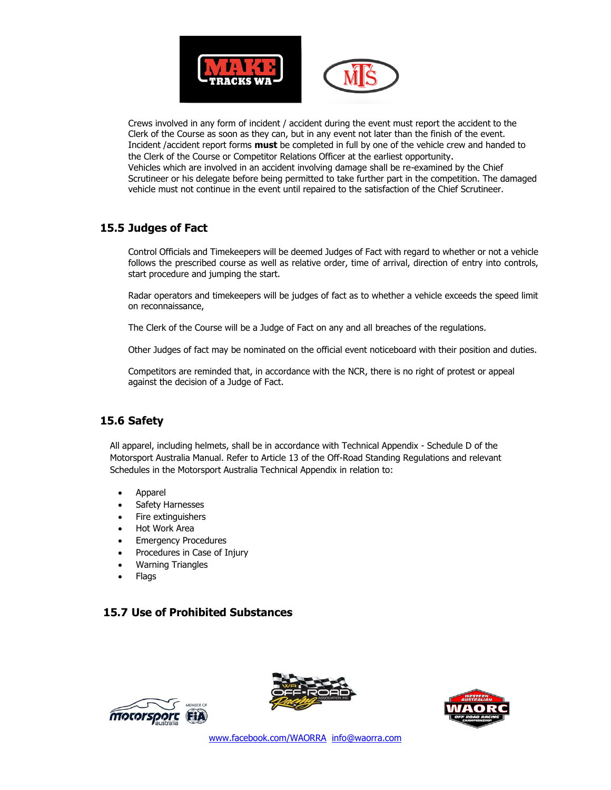

Crews involved in any form of incident / accident during the event must report the accident to the Clerk of the Course as soon as they can, but in any event not later than the finish of the event. Incident /accident report forms **must** be completed in full by one of the vehicle crew and handed to the Clerk of the Course or Competitor Relations Officer at the earliest opportunity. Vehicles which are involved in an accident involving damage shall be re-examined by the Chief Scrutineer or his delegate before being permitted to take further part in the competition. The damaged vehicle must not continue in the event until repaired to the satisfaction of the Chief Scrutineer.

# **15.5 Judges of Fact**

Control Officials and Timekeepers will be deemed Judges of Fact with regard to whether or not a vehicle follows the prescribed course as well as relative order, time of arrival, direction of entry into controls, start procedure and jumping the start.

Radar operators and timekeepers will be judges of fact as to whether a vehicle exceeds the speed limit on reconnaissance,

The Clerk of the Course will be a Judge of Fact on any and all breaches of the regulations.

Other Judges of fact may be nominated on the official event noticeboard with their position and duties.

Competitors are reminded that, in accordance with the NCR, there is no right of protest or appeal against the decision of a Judge of Fact.

# **15.6 Safety**

All apparel, including helmets, shall be in accordance with Technical Appendix - Schedule D of the Motorsport Australia Manual. Refer to Article 13 of the Off-Road Standing Regulations and relevant Schedules in the Motorsport Australia Technical Appendix in relation to:

- Apparel
- Safety Harnesses
- Fire extinguishers
- Hot Work Area
- **Emergency Procedures**
- Procedures in Case of Injury
- Warning Triangles
- Flags

# **15.7 Use of Prohibited Substances**





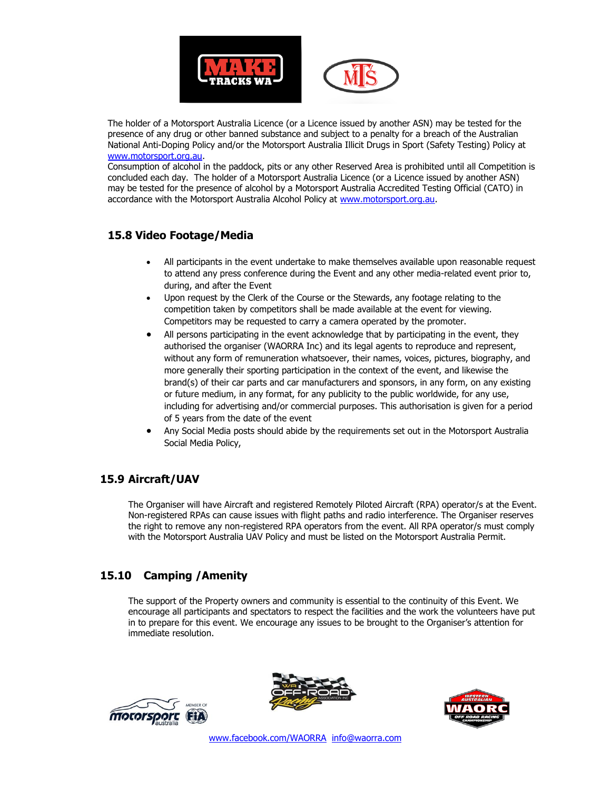

The holder of a Motorsport Australia Licence (or a Licence issued by another ASN) may be tested for the presence of any drug or other banned substance and subject to a penalty for a breach of the Australian National Anti-Doping Policy and/or the Motorsport Australia Illicit Drugs in Sport (Safety Testing) Policy at [www.motorsport.org.au.](http://www.motorsport.org.au/)

Consumption of alcohol in the paddock, pits or any other Reserved Area is prohibited until all Competition is concluded each day. The holder of a Motorsport Australia Licence (or a Licence issued by another ASN) may be tested for the presence of alcohol by a Motorsport Australia Accredited Testing Official (CATO) in accordance with the Motorsport Australia Alcohol Policy at [www.motorsport.org.au.](http://www.motorsport.org.au/)

#### **15.8 Video Footage/Media**

- All participants in the event undertake to make themselves available upon reasonable request to attend any press conference during the Event and any other media-related event prior to, during, and after the Event
- Upon request by the Clerk of the Course or the Stewards, any footage relating to the competition taken by competitors shall be made available at the event for viewing. Competitors may be requested to carry a camera operated by the promoter.
- All persons participating in the event acknowledge that by participating in the event, they authorised the organiser (WAORRA Inc) and its legal agents to reproduce and represent, without any form of remuneration whatsoever, their names, voices, pictures, biography, and more generally their sporting participation in the context of the event, and likewise the brand(s) of their car parts and car manufacturers and sponsors, in any form, on any existing or future medium, in any format, for any publicity to the public worldwide, for any use, including for advertising and/or commercial purposes. This authorisation is given for a period of 5 years from the date of the event
- Any Social Media posts should abide by the requirements set out in the Motorsport Australia Social Media Policy,

# **15.9 Aircraft/UAV**

The Organiser will have Aircraft and registered Remotely Piloted Aircraft (RPA) operator/s at the Event. Non-registered RPAs can cause issues with flight paths and radio interference. The Organiser reserves the right to remove any non-registered RPA operators from the event. All RPA operator/s must comply with the Motorsport Australia UAV Policy and must be listed on the Motorsport Australia Permit.

# **15.10 Camping /Amenity**

The support of the Property owners and community is essential to the continuity of this Event. We encourage all participants and spectators to respect the facilities and the work the volunteers have put in to prepare for this event. We encourage any issues to be brought to the Organiser's attention for immediate resolution.





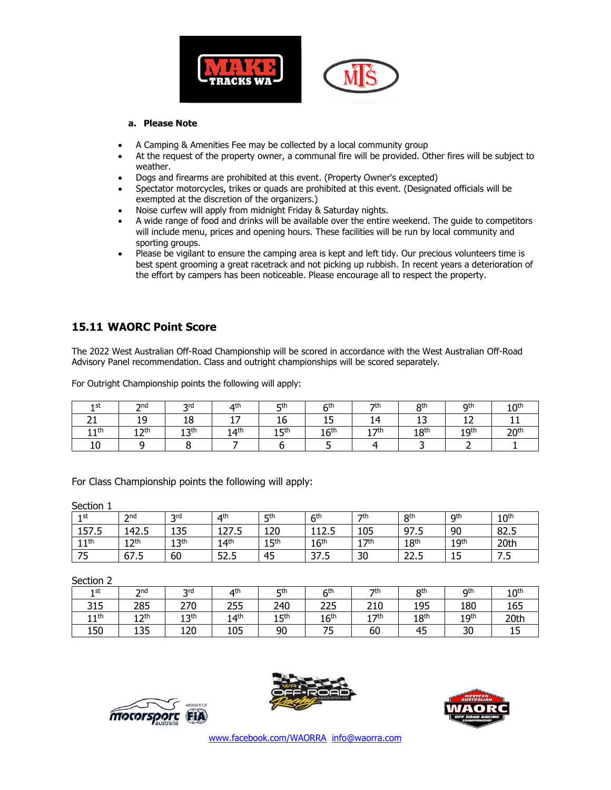



#### **a. Please Note**

- A Camping & Amenities Fee may be collected by a local community group
- At the request of the property owner, a communal fire will be provided. Other fires will be subject to weather.
- Dogs and firearms are prohibited at this event. (Property Owner's excepted)
- Spectator motorcycles, trikes or quads are prohibited at this event. (Designated officials will be exempted at the discretion of the organizers.)
- Noise curfew will apply from midnight Friday & Saturday nights.
- A wide range of food and drinks will be available over the entire weekend. The guide to competitors will include menu, prices and opening hours. These facilities will be run by local community and sporting groups.
- Please be vigilant to ensure the camping area is kept and left tidy. Our precious volunteers time is best spent grooming a great racetrack and not picking up rubbish. In recent years a deterioration of the effort by campers has been noticeable. Please encourage all to respect the property.

#### **15.11 WAORC Point Score**

The 2022 West Australian Off-Road Championship will be scored in accordance with the West Australian Off-Road Advisory Panel recommendation. Class and outright championships will be scored separately.

For Outright Championship points the following will apply:

| 1 st          | הת<br>מ    | <b>ord</b><br>ັ | $\mathbf{\Lambda}^{\text{th}}$ | <b>c</b> th      | ςth                           | $\nabla$         | oth              | <b>Qth</b>               | 1 ∩th        |
|---------------|------------|-----------------|--------------------------------|------------------|-------------------------------|------------------|------------------|--------------------------|--------------|
| <u>_ _</u>    | 19         | 18              | --<br><b>.</b>                 | . .<br>10        | $\overline{\phantom{0}}$<br>ᆠ | 14               | - -<br>--        |                          |              |
| 1 1 th<br>. . | n לר<br>-- | 12th<br>∸∸      | 14 <sup>th</sup>               | 15 <sup>th</sup> | 16 <sup>th</sup>              | 17th<br><b>.</b> | 18 <sup>th</sup> | 1 Q <sup>th</sup><br>. . | $\mathsf{O}$ |
| 10            |            |                 |                                |                  |                               |                  |                  |                          |              |

For Class Championship points the following will apply:

Section 1

| ________         |             |                  |                  |                  |                  |                 |                  |                  |                  |  |
|------------------|-------------|------------------|------------------|------------------|------------------|-----------------|------------------|------------------|------------------|--|
| 1st              | 2nd         | 2rd<br>ັ         | 4 <sup>th</sup>  | <b>5th</b>       | 6 <sup>th</sup>  | 7 <sup>th</sup> | 8 <sup>th</sup>  | Qth              | 10 <sup>th</sup> |  |
| 157.5            | 142.5       | 135              | 127.5            | 120              | 112E<br>114.J    | 105             | 97.5             | 90               | 82.5             |  |
| 11 <sup>th</sup> | ∣ つth<br>┸᠘ | 13 <sup>th</sup> | 14 <sup>th</sup> | 15 <sup>th</sup> | 16 <sup>th</sup> | 7 <sup>th</sup> | 18 <sup>th</sup> | 19 <sup>th</sup> | 20th             |  |
| 75               | 67.5        | 60               | 52.5             | 45               | つつ に<br>כ. / כ   | 30              | ח בר<br>د . ے    | 15               | - -<br>ر ،       |  |

Section 2

| 1st              | 2nd<br><u>.</u>    | <b>2rd</b>       | ⊿th              | <b>Eth</b>       | 6 <sup>th</sup>  | 7 <sup>th</sup>  | <b>Qth</b>       | Qth              | 10 <sup>th</sup> |
|------------------|--------------------|------------------|------------------|------------------|------------------|------------------|------------------|------------------|------------------|
| 315              | 285                | 270              | 255              | 240              | 225              | 210              | 195              | 180              | 165              |
| 11 <sup>th</sup> | ` <b>つ</b> th<br>ᅭ | 13 <sup>th</sup> | 14 <sup>th</sup> | 15 <sup>th</sup> | 16 <sup>th</sup> | 17 <sup>th</sup> | 18 <sup>th</sup> | 19 <sup>th</sup> | 20th             |
| 150              | 135                | 120              | 105              | 90               | ᅲ<br>◡           | 60               | 45               | 30               | ∸                |